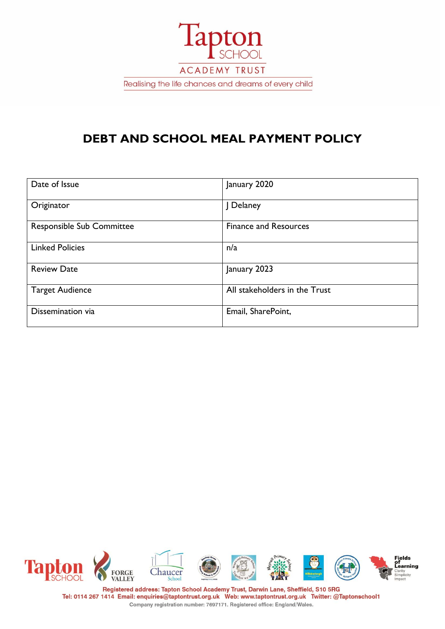

# **DEBT AND SCHOOL MEAL PAYMENT POLICY**

| Date of Issue                    | January 2020                  |
|----------------------------------|-------------------------------|
| Originator                       | J Delaney                     |
| <b>Responsible Sub Committee</b> | <b>Finance and Resources</b>  |
| <b>Linked Policies</b>           | n/a                           |
| <b>Review Date</b>               | January 2023                  |
| <b>Target Audience</b>           | All stakeholders in the Trust |
| Dissemination via                | Email, SharePoint,            |



Registered address: Tapton School Academy Trust, Darwin Lane, Sheffield, S10 5RG Tel: 0114 267 1414 Email: enquiries@taptontrust.org.uk Web: www.taptontrust.org.uk Twitter: @Taptonschool1 Company registration number: 7697171. Registered office: England/Wales.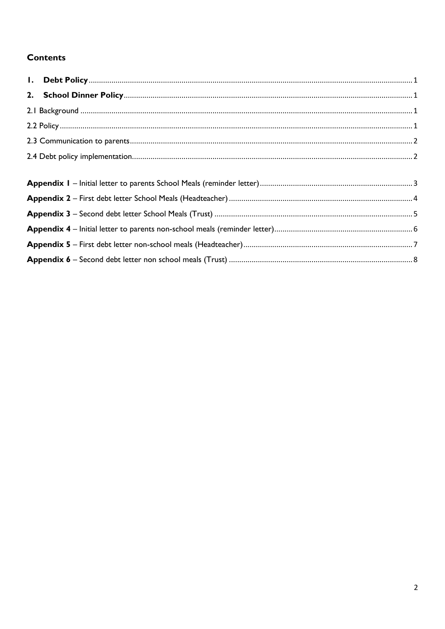# **Contents**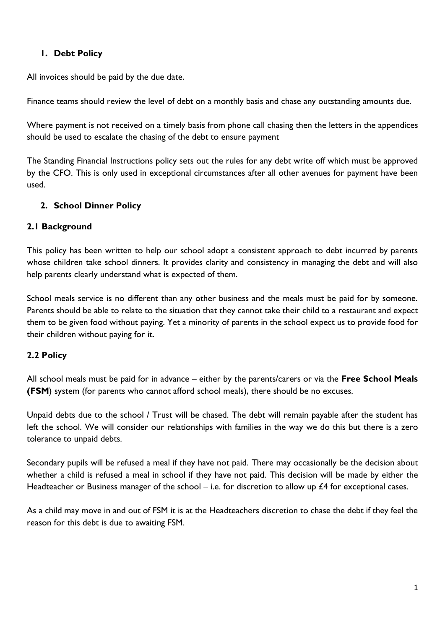## <span id="page-2-0"></span>**1. Debt Policy**

All invoices should be paid by the due date.

Finance teams should review the level of debt on a monthly basis and chase any outstanding amounts due.

Where payment is not received on a timely basis from phone call chasing then the letters in the appendices should be used to escalate the chasing of the debt to ensure payment

The Standing Financial Instructions policy sets out the rules for any debt write off which must be approved by the CFO. This is only used in exceptional circumstances after all other avenues for payment have been used.

# <span id="page-2-1"></span>**2. School Dinner Policy**

### <span id="page-2-2"></span>**2.1 Background**

This policy has been written to help our school adopt a consistent approach to debt incurred by parents whose children take school dinners. It provides clarity and consistency in managing the debt and will also help parents clearly understand what is expected of them.

School meals service is no different than any other business and the meals must be paid for by someone. Parents should be able to relate to the situation that they cannot take their child to a restaurant and expect them to be given food without paying. Yet a minority of parents in the school expect us to provide food for their children without paying for it.

### <span id="page-2-3"></span>**2.2 Policy**

All school meals must be paid for in advance – either by the parents/carers or via the **Free School Meals (FSM**) system (for parents who cannot afford school meals), there should be no excuses.

Unpaid debts due to the school / Trust will be chased. The debt will remain payable after the student has left the school. We will consider our relationships with families in the way we do this but there is a zero tolerance to unpaid debts.

Secondary pupils will be refused a meal if they have not paid. There may occasionally be the decision about whether a child is refused a meal in school if they have not paid. This decision will be made by either the Headteacher or Business manager of the school – i.e. for discretion to allow up  $£4$  for exceptional cases.

As a child may move in and out of FSM it is at the Headteachers discretion to chase the debt if they feel the reason for this debt is due to awaiting FSM.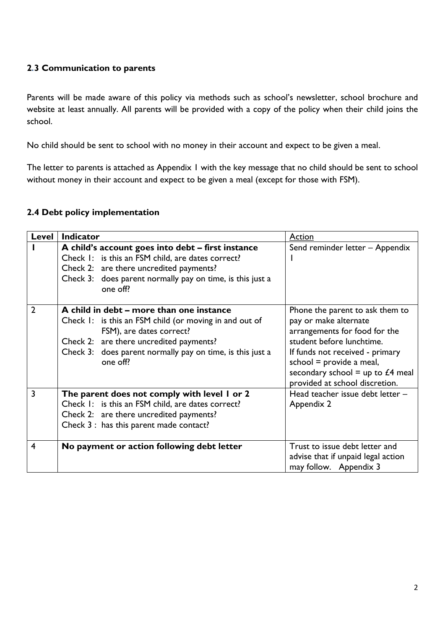### <span id="page-3-0"></span>**2**.**3 Communication to parents**

Parents will be made aware of this policy via methods such as school's newsletter, school brochure and website at least annually. All parents will be provided with a copy of the policy when their child joins the school.

No child should be sent to school with no money in their account and expect to be given a meal.

The letter to parents is attached as Appendix 1 with the key message that no child should be sent to school without money in their account and expect to be given a meal (except for those with FSM).

#### <span id="page-3-1"></span>**2.4 Debt policy implementation**

| Level                   | <b>Indicator</b>                                                                   | <b>Action</b>                                                        |
|-------------------------|------------------------------------------------------------------------------------|----------------------------------------------------------------------|
|                         | A child's account goes into debt – first instance                                  | Send reminder letter - Appendix                                      |
|                         | Check I: is this an FSM child, are dates correct?                                  |                                                                      |
|                         | Check 2: are there uncredited payments?                                            |                                                                      |
|                         | Check 3: does parent normally pay on time, is this just a<br>one off?              |                                                                      |
| 2                       | A child in debt – more than one instance                                           | Phone the parent to ask them to                                      |
|                         | Check 1: is this an FSM child (or moving in and out of<br>FSM), are dates correct? | pay or make alternate<br>arrangements for food for the               |
|                         | Check 2: are there uncredited payments?                                            | student before lunchtime.                                            |
|                         | Check 3: does parent normally pay on time, is this just a                          | If funds not received - primary                                      |
|                         | one off?                                                                           | school = $provide$ a meal,                                           |
|                         |                                                                                    | secondary school = up to $£4$ meal<br>provided at school discretion. |
| 3                       | The parent does not comply with level I or 2                                       | Head teacher issue debt letter -                                     |
|                         | Check I: is this an FSM child, are dates correct?                                  | Appendix 2                                                           |
|                         | Check 2: are there uncredited payments?                                            |                                                                      |
|                         | Check 3 : has this parent made contact?                                            |                                                                      |
| $\overline{\mathbf{4}}$ | No payment or action following debt letter                                         | Trust to issue debt letter and                                       |
|                         |                                                                                    | advise that if unpaid legal action                                   |
|                         |                                                                                    | may follow. Appendix 3                                               |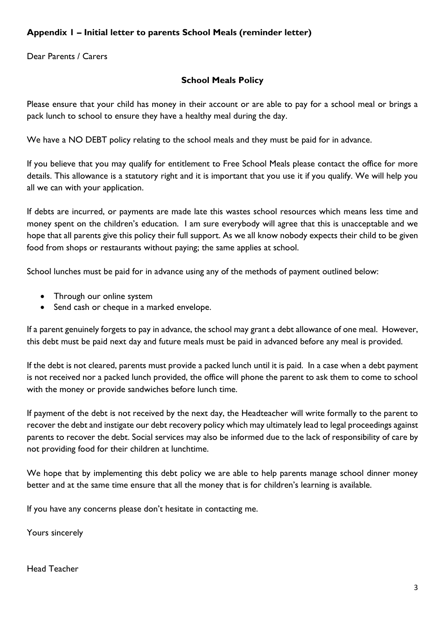# <span id="page-4-0"></span>**Appendix 1 – Initial letter to parents School Meals (reminder letter)**

Dear Parents / Carers

#### **School Meals Policy**

Please ensure that your child has money in their account or are able to pay for a school meal or brings a pack lunch to school to ensure they have a healthy meal during the day.

We have a NO DEBT policy relating to the school meals and they must be paid for in advance.

If you believe that you may qualify for entitlement to Free School Meals please contact the office for more details. This allowance is a statutory right and it is important that you use it if you qualify. We will help you all we can with your application.

If debts are incurred, or payments are made late this wastes school resources which means less time and money spent on the children's education. I am sure everybody will agree that this is unacceptable and we hope that all parents give this policy their full support. As we all know nobody expects their child to be given food from shops or restaurants without paying; the same applies at school.

School lunches must be paid for in advance using any of the methods of payment outlined below:

- Through our online system
- Send cash or cheque in a marked envelope.

If a parent genuinely forgets to pay in advance, the school may grant a debt allowance of one meal. However, this debt must be paid next day and future meals must be paid in advanced before any meal is provided.

If the debt is not cleared, parents must provide a packed lunch until it is paid. In a case when a debt payment is not received nor a packed lunch provided, the office will phone the parent to ask them to come to school with the money or provide sandwiches before lunch time.

If payment of the debt is not received by the next day, the Headteacher will write formally to the parent to recover the debt and instigate our debt recovery policy which may ultimately lead to legal proceedings against parents to recover the debt. Social services may also be informed due to the lack of responsibility of care by not providing food for their children at lunchtime.

We hope that by implementing this debt policy we are able to help parents manage school dinner money better and at the same time ensure that all the money that is for children's learning is available.

If you have any concerns please don't hesitate in contacting me.

Yours sincerely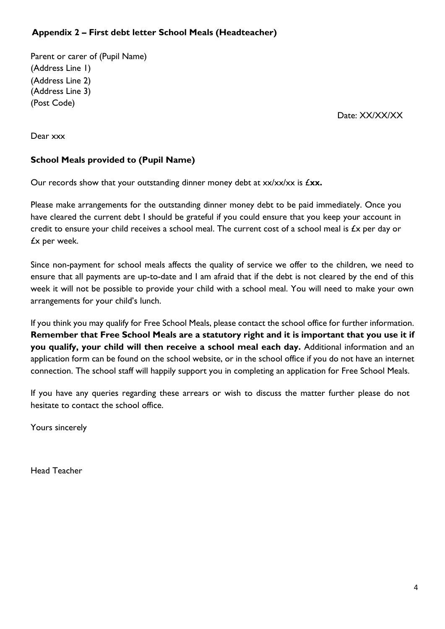## <span id="page-5-0"></span> **Appendix 2 – First debt letter School Meals (Headteacher)**

Parent or carer of (Pupil Name) (Address Line 1) (Address Line 2) (Address Line 3) (Post Code)

Date: XX/XX/XX

Dear xxx

### **School Meals provided to (Pupil Name)**

Our records show that your outstanding dinner money debt at xx/xx/xx is  $f$ **xx.** 

Please make arrangements for the outstanding dinner money debt to be paid immediately. Once you have cleared the current debt I should be grateful if you could ensure that you keep your account in credit to ensure your child receives a school meal. The current cost of a school meal is £x per day or £x per week.

Since non-payment for school meals affects the quality of service we offer to the children, we need to ensure that all payments are up-to-date and I am afraid that if the debt is not cleared by the end of this week it will not be possible to provide your child with a school meal. You will need to make your own arrangements for your child's lunch.

If you think you may qualify for Free School Meals, please contact the school office for further information. **Remember that Free School Meals are a statutory right and it is important that you use it if you qualify, your child will then receive a school meal each day.** Additional information and an application form can be found on the school website, or in the school office if you do not have an internet connection. The school staff will happily support you in completing an application for Free School Meals.

If you have any queries regarding these arrears or wish to discuss the matter further please do not hesitate to contact the school office.

Yours sincerely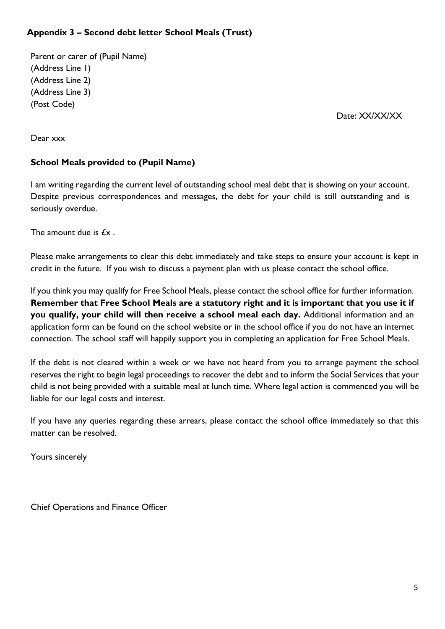# <span id="page-6-0"></span>**Appendix 3 – Second debt letter School Meals (Trust)**

Parent or carer of (Pupil Name) (Address Line 1) (Address Line 2) (Address Line 3) (Post Code)

Date: XX/XX/XX

Dear xxx

#### **School Meals provided to (Pupil Name)**

I am writing regarding the current level of outstanding school meal debt that is showing on your account. Despite previous correspondences and messages, the debt for your child is still outstanding and is seriously overdue.

The amount due is  $f$  $x$ .

Please make arrangements to clear this debt immediately and take steps to ensure your account is kept in credit in the future. If you wish to discuss a payment plan with us please contact the school office.

If you think you may qualify for Free School Meals, please contact the school office for further information. **Remember that Free School Meals are a statutory right and it is important that you use it if you qualify, your child will then receive a school meal each day.** Additional information and an application form can be found on the school website or in the school office if you do not have an internet connection. The school staff will happily support you in completing an application for Free School Meals.

If the debt is not cleared within a week or we have not heard from you to arrange payment the school reserves the right to begin legal proceedings to recover the debt and to inform the Social Services that your child is not being provided with a suitable meal at lunch time. Where legal action is commenced you will be liable for our legal costs and interest.

If you have any queries regarding these arrears, please contact the school office immediately so that this matter can be resolved.

Yours sincerely

Chief Operations and Finance Officer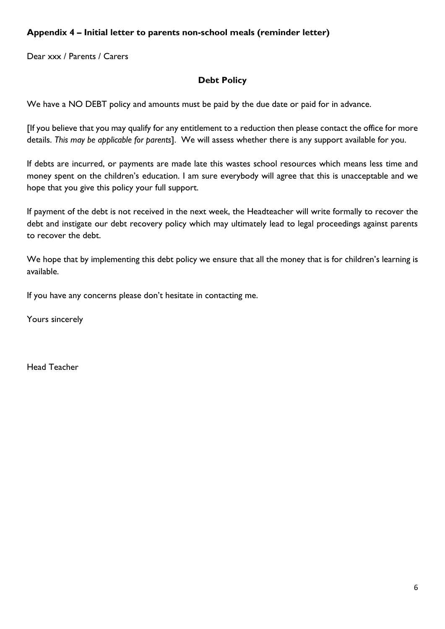## <span id="page-7-0"></span>**Appendix 4 – Initial letter to parents non-school meals (reminder letter)**

Dear xxx / Parents / Carers

#### **Debt Policy**

We have a NO DEBT policy and amounts must be paid by the due date or paid for in advance.

[If you believe that you may qualify for any entitlement to a reduction then please contact the office for more details. *This may be applicable for parents*]. We will assess whether there is any support available for you.

If debts are incurred, or payments are made late this wastes school resources which means less time and money spent on the children's education. I am sure everybody will agree that this is unacceptable and we hope that you give this policy your full support.

If payment of the debt is not received in the next week, the Headteacher will write formally to recover the debt and instigate our debt recovery policy which may ultimately lead to legal proceedings against parents to recover the debt.

We hope that by implementing this debt policy we ensure that all the money that is for children's learning is available.

If you have any concerns please don't hesitate in contacting me.

Yours sincerely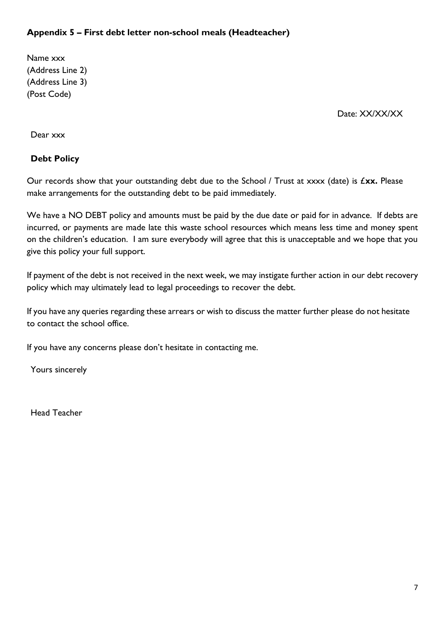## <span id="page-8-0"></span>**Appendix 5 – First debt letter non-school meals (Headteacher)**

Name xxx (Address Line 2) (Address Line 3) (Post Code)

Date: XX/XX/XX

Dear xxx

## **Debt Policy**

Our records show that your outstanding debt due to the School / Trust at xxxx (date) is £**xx.** Please make arrangements for the outstanding debt to be paid immediately.

We have a NO DEBT policy and amounts must be paid by the due date or paid for in advance. If debts are incurred, or payments are made late this waste school resources which means less time and money spent on the children's education. I am sure everybody will agree that this is unacceptable and we hope that you give this policy your full support.

If payment of the debt is not received in the next week, we may instigate further action in our debt recovery policy which may ultimately lead to legal proceedings to recover the debt.

If you have any queries regarding these arrears or wish to discuss the matter further please do not hesitate to contact the school office.

If you have any concerns please don't hesitate in contacting me.

Yours sincerely